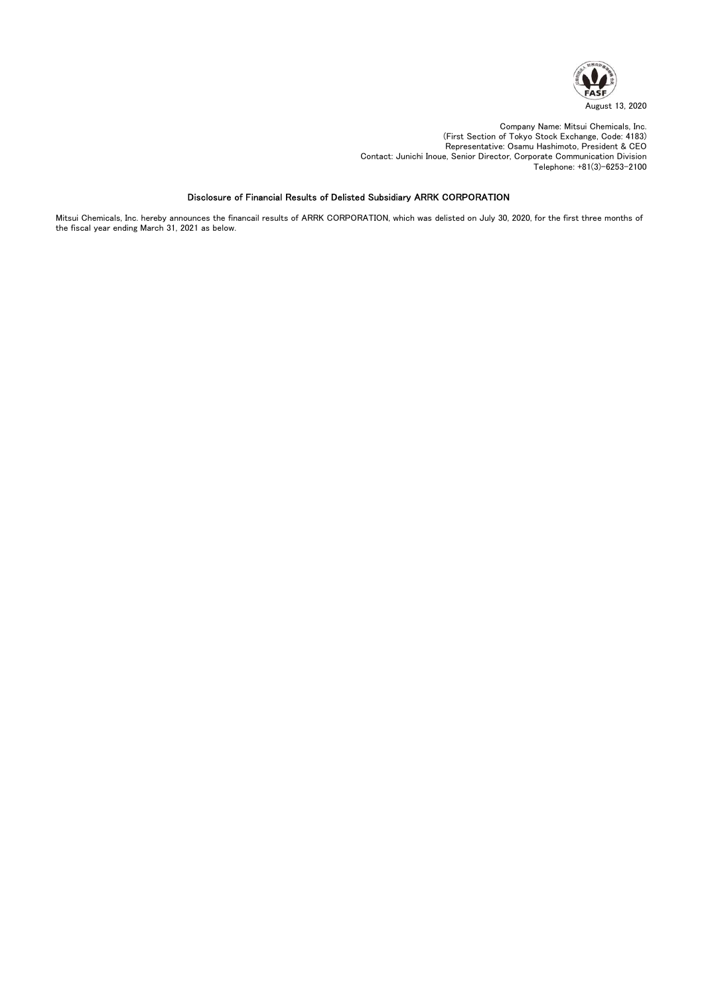

Company Name: Mitsui Chemicals, Inc. (First Section of Tokyo Stock Exchange, Code: 4183) Representative: Osamu Hashimoto, President & CEO Contact: Junichi Inoue, Senior Director, Corporate Communication Division Telephone: +81(3)-6253-2100

### Disclosure of Financial Results of Delisted Subsidiary ARRK CORPORATION

Mitsui Chemicals, Inc. hereby announces the financail results of ARRK CORPORATION, which was delisted on July 30, 2020, for the first three months of the fiscal year ending March 31, 2021 as below.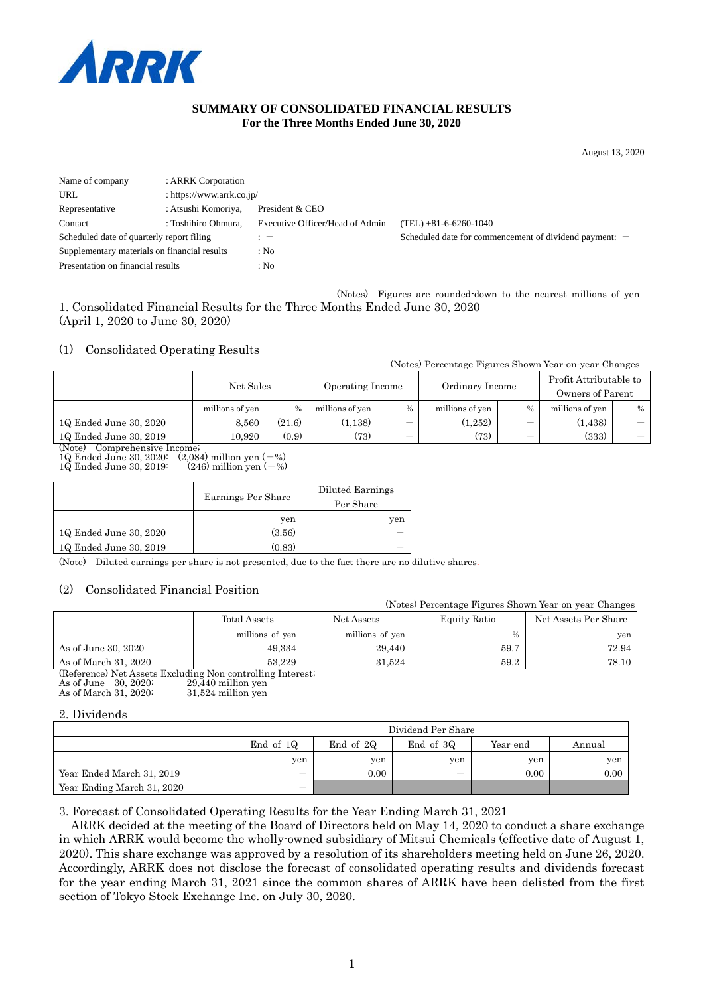

#### **SUMMARY OF CONSOLIDATED FINANCIAL RESULTS For the Three Months Ended June 30, 2020**

August 13, 2020

| Name of company                              | : ARRK Corporation        |                                 |                                                          |
|----------------------------------------------|---------------------------|---------------------------------|----------------------------------------------------------|
| URL                                          | : https://www.arrk.co.jp/ |                                 |                                                          |
| Representative                               | : Atsushi Komoriya,       | President & CEO                 |                                                          |
| Contact                                      | : Toshihiro Ohmura,       | Executive Officer/Head of Admin | (TEL) +81-6-6260-1040                                    |
| Scheduled date of quarterly report filing    |                           |                                 | Scheduled date for commencement of dividend payment: $-$ |
| Supplementary materials on financial results |                           | : No                            |                                                          |
| Presentation on financial results            |                           | : No                            |                                                          |

(Notes) Figures are rounded-down to the nearest millions of yen 1. Consolidated Financial Results for the Three Months Ended June 30, 2020 (April 1, 2020 to June 30, 2020)

#### (1) Consolidated Operating Results

(Notes) Percentage Figures Shown Year-on-year Changes

|                                      | Net Sales<br>Operating Income |        |                 | Ordinary Income |                 | Profit Attributable to<br>Owners of Parent |                 |                                           |
|--------------------------------------|-------------------------------|--------|-----------------|-----------------|-----------------|--------------------------------------------|-----------------|-------------------------------------------|
|                                      | millions of yen               |        | millions of yen | $\frac{0}{0}$   | millions of yen | $\%$                                       | millions of yen | $\%$                                      |
| 1Q Ended June 30, 2020               | 8.560                         | (21.6) | (1,138)         |                 | (1.252)         |                                            | (1, 438)        | $\overline{\phantom{0}}$                  |
| 1Q Ended June 30, 2019<br>$\sqrt{2}$ | 10.920                        | (0.9)  | (73)            | $\qquad \qquad$ | (73)            |                                            | (333)           | $\qquad \qquad \overline{\qquad \qquad }$ |

(Note) Comprehensive Income;

1Q Ended June 30, 2020:  $(2,084)$  million yen  $(-\%)$ <br>1Q Ended June 30, 2019:  $(246)$  million yen  $(-\%)$  $1\ddot{Q}$  Ended June  $30$ ,  $2019$ :

|                        |                    | Diluted Earnings |
|------------------------|--------------------|------------------|
|                        | Earnings Per Share | Per Share        |
|                        | yen                | yen              |
| 1Q Ended June 30, 2020 | (3.56)             |                  |
| 1Q Ended June 30, 2019 | (0.83)             |                  |

(Note) Diluted earnings per share is not presented, due to the fact there are no dilutive shares.

#### (2) Consolidated Financial Position

|                                                            |                 |                 | (Notes) Percentage Figures Shown Year on year Changes |                      |  |
|------------------------------------------------------------|-----------------|-----------------|-------------------------------------------------------|----------------------|--|
|                                                            | Total Assets    | Net Assets      | Equity Ratio                                          | Net Assets Per Share |  |
|                                                            | millions of yen | millions of yen | $\frac{0}{0}$                                         | yen                  |  |
| As of June 30, 2020                                        | 49.334          | 29,440          | 59.7                                                  | 72.94                |  |
| As of March 31, 2020                                       | 53.229          | 31.524          | 59.2                                                  | 78.10                |  |
| (Reference) Net Assets Excluding Non-controlling Interest, |                 |                 |                                                       |                      |  |

(Reference) Net Assets Excluding Non-controlling Interest; As of June 30, 2020: 29,440 million yen

As of March 31, 2020: 31,524 million yen

#### 2. Dividends

|                            | Dividend Per Share              |           |                          |          |        |
|----------------------------|---------------------------------|-----------|--------------------------|----------|--------|
|                            | End of 10                       | End of 2Q | End of 3Q                | Year-end | Annual |
|                            | yen                             | yen       | yen                      | yen      | yen    |
| Year Ended March 31, 2019  | $\hspace{0.1mm}-\hspace{0.1mm}$ | 0.00      | $\overline{\phantom{0}}$ | 0.00     | 0.00   |
| Year Ending March 31, 2020 |                                 |           |                          |          |        |

3. Forecast of Consolidated Operating Results for the Year Ending March 31, 2021

ARRK decided at the meeting of the Board of Directors held on May 14, 2020 to conduct a share exchange in which ARRK would become the wholly-owned subsidiary of Mitsui Chemicals (effective date of August 1, 2020). This share exchange was approved by a resolution of its shareholders meeting held on June 26, 2020. Accordingly, ARRK does not disclose the forecast of consolidated operating results and dividends forecast for the year ending March 31, 2021 since the common shares of ARRK have been delisted from the first section of Tokyo Stock Exchange Inc. on July 30, 2020.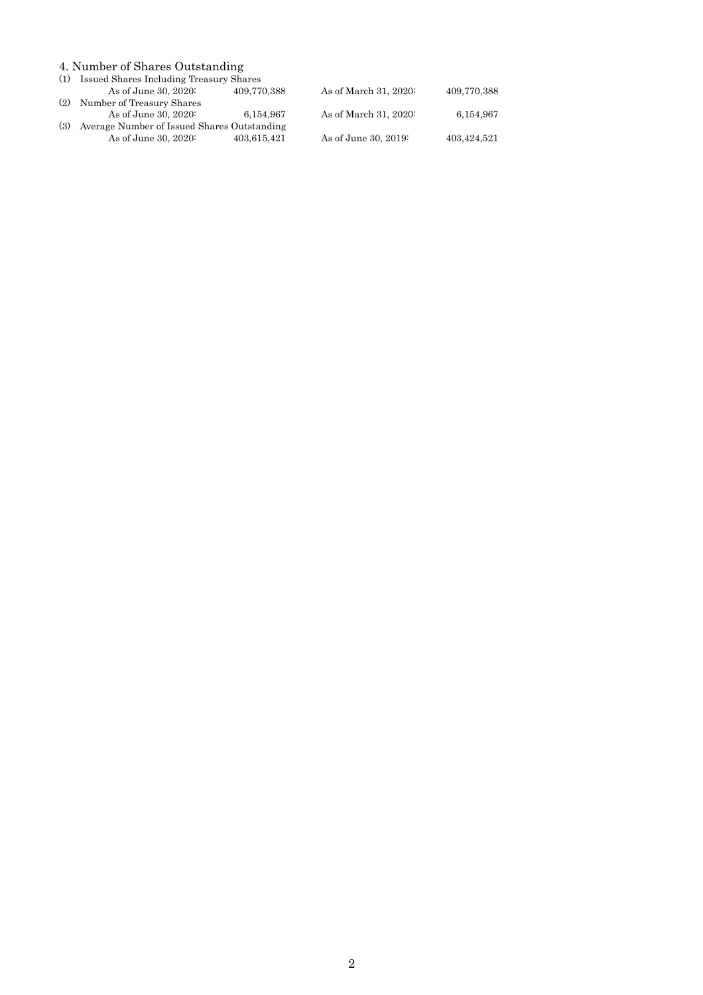#### 4. Number of Shares Outstanding

| As of June 30, 2020:      | 409,770,388 | As of March 31, 2020:                       | 409,770,388                                 |
|---------------------------|-------------|---------------------------------------------|---------------------------------------------|
| Number of Treasury Shares |             |                                             |                                             |
| As of June 30, 2020:      | 6.154.967   | As of March 31, 2020:                       | 6,154,967                                   |
|                           |             |                                             |                                             |
| As of June 30, 2020:      | 403.615.421 | As of June 30, 2019:                        | 403,424,521                                 |
|                           |             | Average Number of Issued Shares Outstanding | (1) Issued Shares Including Treasury Shares |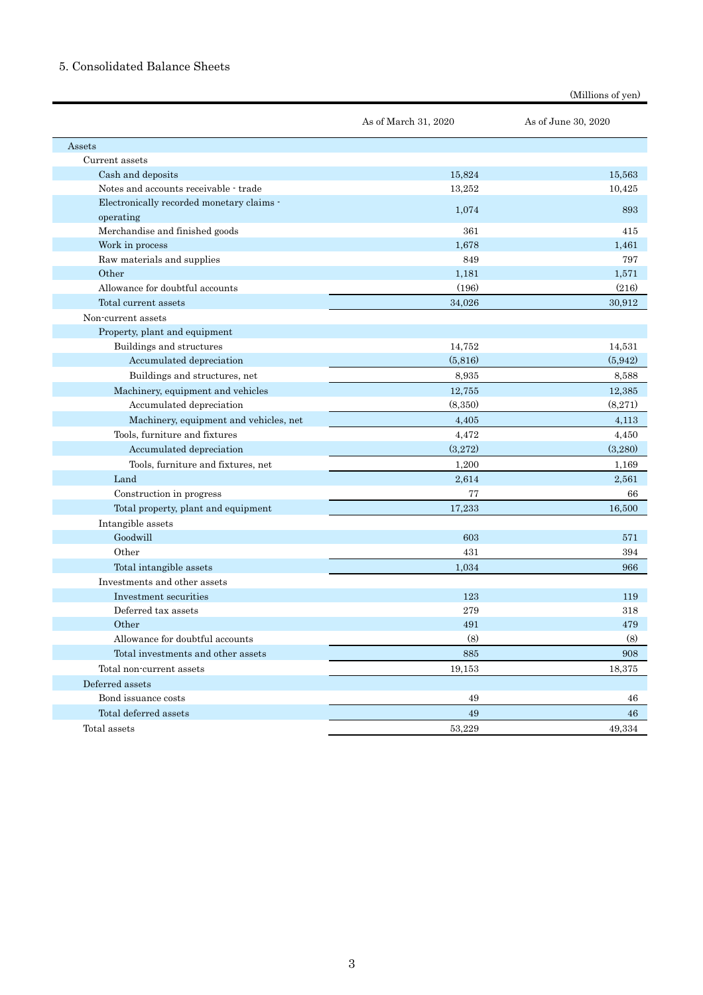### 5. Consolidated Balance Sheets

|                                           | As of March 31, 2020 | As of June 30, 2020 |
|-------------------------------------------|----------------------|---------------------|
| Assets                                    |                      |                     |
| Current assets                            |                      |                     |
| Cash and deposits                         | 15,824               | 15.563              |
| Notes and accounts receivable - trade     | 13,252               | 10,425              |
| Electronically recorded monetary claims - |                      |                     |
| operating                                 | 1,074                | 893                 |
| Merchandise and finished goods            | 361                  | 415                 |
| Work in process                           | 1,678                | 1,461               |
| Raw materials and supplies                | 849                  | 797                 |
| Other                                     | 1,181                | 1,571               |
| Allowance for doubtful accounts           | (196)                | (216)               |
| Total current assets                      | 34,026               | 30,912              |
| Non-current assets                        |                      |                     |
| Property, plant and equipment             |                      |                     |
| Buildings and structures                  | 14,752               | 14,531              |
| Accumulated depreciation                  | (5,816)              | (5.942)             |
| Buildings and structures, net             | 8,935                | 8.588               |
| Machinery, equipment and vehicles         | 12,755               | 12,385              |
| Accumulated depreciation                  | (8,350)              | (8.271)             |
| Machinery, equipment and vehicles, net    | 4,405                | 4,113               |
| Tools, furniture and fixtures             | 4,472                | 4,450               |
| Accumulated depreciation                  | (3,272)              | (3,280)             |
| Tools, furniture and fixtures, net        | 1,200                | 1,169               |
| Land                                      | 2,614                | 2,561               |
| Construction in progress                  | 77                   | 66                  |
| Total property, plant and equipment       | 17,233               | 16,500              |
| Intangible assets                         |                      |                     |
| Goodwill                                  | 603                  | 571                 |
| Other                                     | 431                  | 394                 |
| Total intangible assets                   | 1,034                | 966                 |
| Investments and other assets              |                      |                     |
| Investment securities                     | 123                  | 119                 |
| Deferred tax assets                       | 279                  | 318                 |
| Other                                     | 491                  | 479                 |
| Allowance for doubtful accounts           | (8)                  | (8)                 |
| Total investments and other assets        | 885                  | 908                 |
| Total non-current assets                  | 19,153               | 18,375              |
| Deferred assets                           |                      |                     |
| Bond issuance costs                       | 49                   | 46                  |
| Total deferred assets                     | 49                   | 46                  |
| Total assets                              | 53,229               | 49,334              |

(Millions of yen)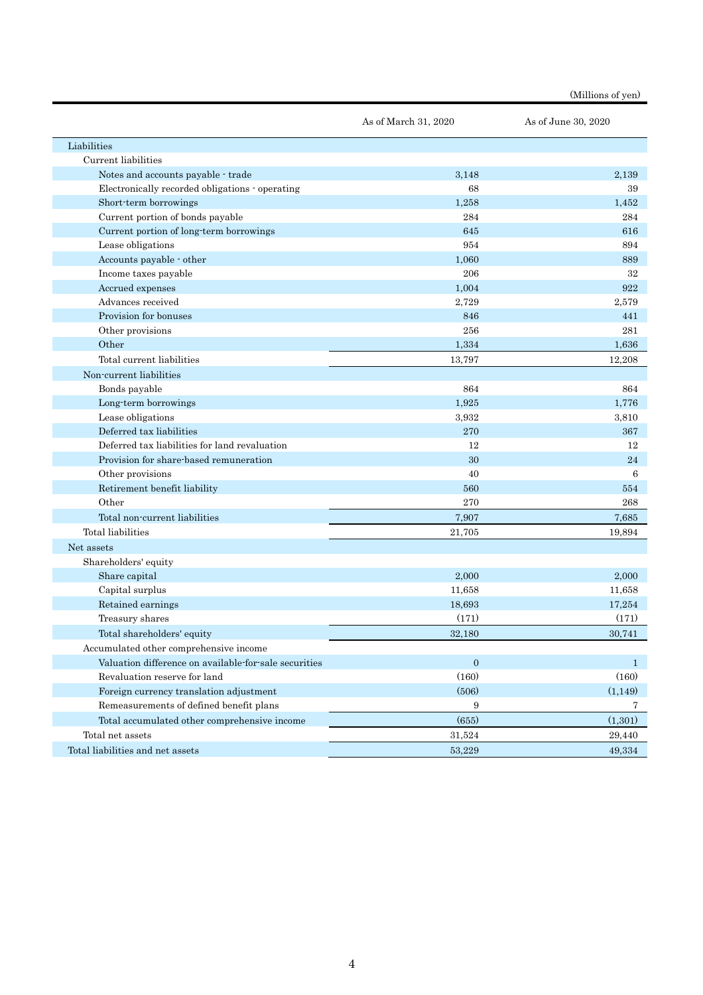(Millions of yen)

|                                                       | As of March 31, 2020 | As of June 30, 2020 |
|-------------------------------------------------------|----------------------|---------------------|
| Liabilities                                           |                      |                     |
| Current liabilities                                   |                      |                     |
| Notes and accounts payable - trade                    | 3,148                | 2,139               |
| Electronically recorded obligations operating         | 68                   | 39                  |
| Short-term borrowings                                 | 1,258                | 1,452               |
| Current portion of bonds payable                      | 284                  | 284                 |
| Current portion of long-term borrowings               | 645                  | 616                 |
| Lease obligations                                     | 954                  | 894                 |
| Accounts payable - other                              | 1,060                | 889                 |
| Income taxes payable                                  | 206                  | 32                  |
| Accrued expenses                                      | 1,004                | 922                 |
| Advances received                                     | 2,729                | 2,579               |
| Provision for bonuses                                 | 846                  | 441                 |
| Other provisions                                      | 256                  | 281                 |
| Other                                                 | 1,334                | 1,636               |
| Total current liabilities                             | 13,797               | 12,208              |
| Non-current liabilities                               |                      |                     |
| Bonds payable                                         | 864                  | 864                 |
| Long term borrowings                                  | 1,925                | 1,776               |
| Lease obligations                                     | 3,932                | 3,810               |
| Deferred tax liabilities                              | 270                  | 367                 |
| Deferred tax liabilities for land revaluation         | 12                   | 12                  |
| Provision for share-based remuneration                | 30                   | 24                  |
| Other provisions                                      | 40                   | 6                   |
| Retirement benefit liability                          | 560                  | 554                 |
| Other                                                 | 270                  | 268                 |
| Total non-current liabilities                         | 7,907                | 7,685               |
| Total liabilities                                     | 21,705               | 19,894              |
| Net assets                                            |                      |                     |
| Shareholders' equity                                  |                      |                     |
| Share capital                                         | 2,000                | 2,000               |
| Capital surplus                                       | 11,658               | 11,658              |
| Retained earnings                                     | 18,693               | 17,254              |
| Treasury shares                                       | (171)                | (171)               |
| Total shareholders' equity                            | 32,180               | 30,741              |
| Accumulated other comprehensive income                |                      |                     |
| Valuation difference on available for sale securities | $\mathbf{0}$         | 1                   |
| Revaluation reserve for land                          | (160)                | (160)               |
| Foreign currency translation adjustment               | (506)                | (1,149)             |
| Remeasurements of defined benefit plans               | 9                    | 7                   |
| Total accumulated other comprehensive income          | (655)                | (1,301)             |
| Total net assets                                      | 31,524               | 29,440              |
| Total liabilities and net assets                      | 53,229               | 49,334              |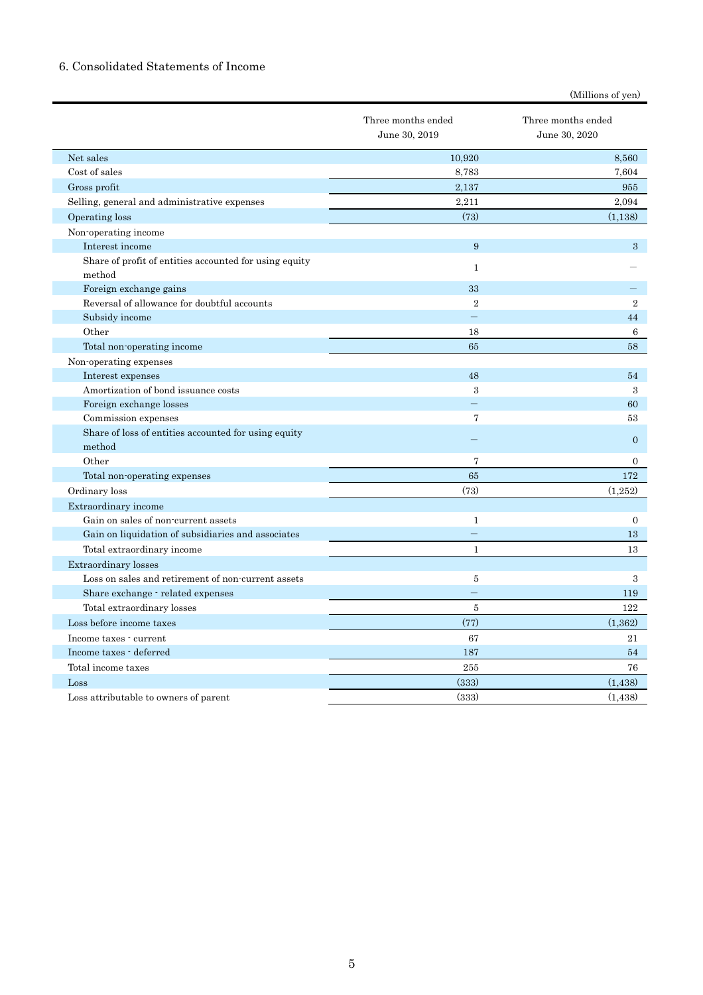## 6. Consolidated Statements of Income

| (Millions of yen) |  |
|-------------------|--|
|-------------------|--|

|                                                                  | Three months ended<br>June 30, 2019 | Three months ended<br>June 30, 2020 |
|------------------------------------------------------------------|-------------------------------------|-------------------------------------|
| Net sales                                                        | 10.920                              | 8.560                               |
| Cost of sales                                                    | 8,783                               | 7,604                               |
| Gross profit                                                     | 2,137                               | 955                                 |
| Selling, general and administrative expenses                     | 2,211                               | 2,094                               |
| Operating loss                                                   | (73)                                | (1,138)                             |
| Non-operating income                                             |                                     |                                     |
| Interest income                                                  | 9                                   | 3                                   |
| Share of profit of entities accounted for using equity<br>method | $\mathbf{1}$                        |                                     |
| Foreign exchange gains                                           | 33                                  |                                     |
| Reversal of allowance for doubtful accounts                      | $\overline{2}$                      | $\overline{2}$                      |
| Subsidy income                                                   |                                     | 44                                  |
| Other                                                            | 18                                  | 6                                   |
| Total non-operating income                                       | 65                                  | 58                                  |
| Non-operating expenses                                           |                                     |                                     |
| Interest expenses                                                | 48                                  | 54                                  |
| Amortization of bond issuance costs                              | 3                                   | 3                                   |
| Foreign exchange losses                                          |                                     | 60                                  |
| Commission expenses                                              | $\overline{7}$                      | 53                                  |
| Share of loss of entities accounted for using equity<br>method   |                                     | $\mathbf{0}$                        |
| Other                                                            | $\overline{7}$                      | $\overline{0}$                      |
| Total non-operating expenses                                     | 65                                  | 172                                 |
| Ordinary loss                                                    | (73)                                | (1,252)                             |
| Extraordinary income                                             |                                     |                                     |
| Gain on sales of non-current assets                              | $\mathbf{1}$                        | $\boldsymbol{0}$                    |
| Gain on liquidation of subsidiaries and associates               |                                     | 13                                  |
| Total extraordinary income                                       | $\mathbf{1}$                        | 13                                  |
| Extraordinary losses                                             |                                     |                                     |
| Loss on sales and retirement of non-current assets               | 5                                   | 3                                   |
| Share exchange - related expenses                                |                                     | 119                                 |
| Total extraordinary losses                                       | 5                                   | 122                                 |
| Loss before income taxes                                         | (77)                                | (1, 362)                            |
| Income taxes - current                                           | 67                                  | 21                                  |
| Income taxes - deferred                                          | 187                                 | 54                                  |
| Total income taxes                                               | 255                                 | 76                                  |
| Loss                                                             | (333)                               | (1,438)                             |
| Loss attributable to owners of parent                            | (333)                               | (1,438)                             |